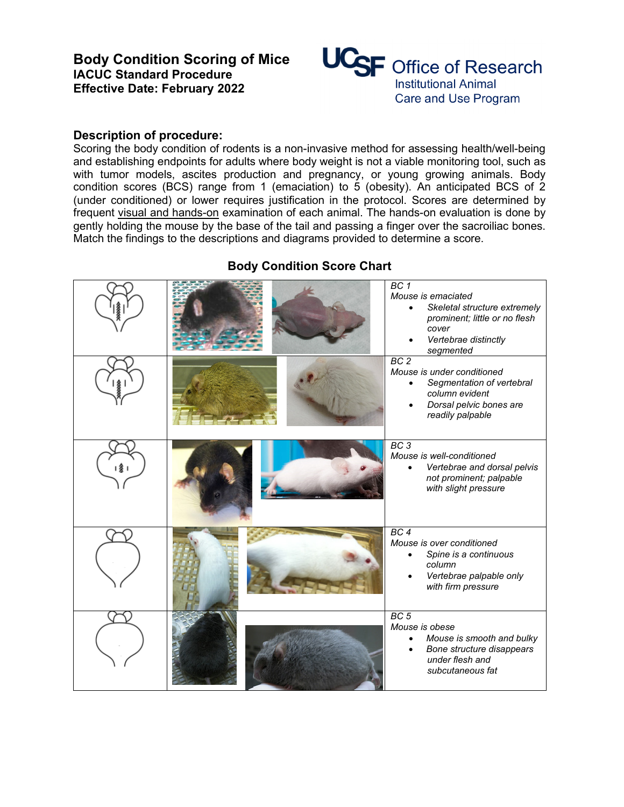

## **Description of procedure:**

Scoring the body condition of rodents is a non-invasive method for assessing health/well-being and establishing endpoints for adults where body weight is not a viable monitoring tool, such as with tumor models, ascites production and pregnancy, or young growing animals. Body condition scores (BCS) range from 1 (emaciation) to 5 (obesity). An anticipated BCS of 2 (under conditioned) or lower requires justification in the protocol. Scores are determined by frequent visual and hands-on examination of each animal. The hands-on evaluation is done by gently holding the mouse by the base of the tail and passing a finger over the sacroiliac bones. Match the findings to the descriptions and diagrams provided to determine a score.

|   | BC 1<br>Mouse is emaciated<br>Skeletal structure extremely<br>$\bullet$<br>prominent; little or no flesh<br>cover<br>Vertebrae distinctly<br>segmented |
|---|--------------------------------------------------------------------------------------------------------------------------------------------------------|
|   | BC <sub>2</sub><br>Mouse is under conditioned<br>Segmentation of vertebral<br>column evident<br>Dorsal pelvic bones are<br>readily palpable            |
| 灸 | BC3<br>Mouse is well-conditioned<br>Vertebrae and dorsal pelvis<br>not prominent; palpable<br>with slight pressure                                     |
|   | BC <sub>4</sub><br>Mouse is over conditioned<br>Spine is a continuous<br>column<br>Vertebrae palpable only<br>with firm pressure                       |
|   | BC <sub>5</sub><br>Mouse is obese<br>Mouse is smooth and bulky<br>Bone structure disappears<br>under flesh and<br>subcutaneous fat                     |

## **Body Condition Score Chart**